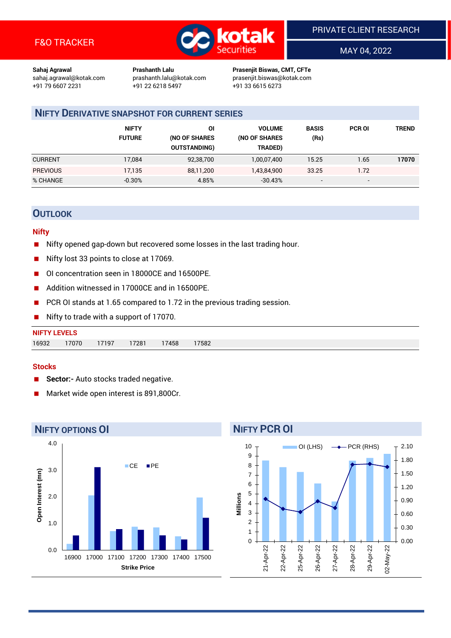

MAY 04, 2022

**Sahaj Agrawal Prashanth Lalu Prasenjit Biswas, CMT, CFTe** +91 22 6218 5497 +91 33 6615 6273

sahaj.agrawal@kotak.com [prashanth.lalu@kotak.com](mailto:prashanth.lalu@kotak.com) prasenjit.biswas@kotak.com

# **NIFTY DERIVATIVE SNAPSHOT FOR CURRENT SERIES**

|                 | <b>NIFTY</b><br><b>FUTURE</b> | ΟI<br>(NO OF SHARES<br><b>OUTSTANDING)</b> | <b>VOLUME</b><br>(NO OF SHARES<br>TRADED) | <b>BASIS</b><br>(Rs)     | <b>PCR OI</b> | TREND |
|-----------------|-------------------------------|--------------------------------------------|-------------------------------------------|--------------------------|---------------|-------|
| <b>CURRENT</b>  | 17.084                        | 92,38,700                                  | 1,00,07,400                               | 15.25                    | 1.65          | 17070 |
| <b>PREVIOUS</b> | 17,135                        | 88,11,200                                  | 1,43,84,900                               | 33.25                    | 1.72          |       |
| % CHANGE        | $-0.30%$                      | 4.85%                                      | $-30.43%$                                 | $\overline{\phantom{a}}$ | -             |       |

## **OUTLOOK**

#### **Nifty**

- Nifty opened gap-down but recovered some losses in the last trading hour.
- Nifty lost 33 points to close at 17069.
- OI concentration seen in 18000CE and 16500PE.
- Addition witnessed in 17000CE and in 16500PE.
- PCR OI stands at 1.65 compared to 1.72 in the previous trading session.
- Nifty to trade with a support of 17070.

| <b>NIFTY</b> | TEVELS |       |       |      |       |
|--------------|--------|-------|-------|------|-------|
| 16932        | 17070  | 17197 | 17281 | 7458 | 17582 |

#### **Stocks**

- **Sector:-** Auto stocks traded negative.
- Market wide open interest is 891,800Cr.



# **NIFTY PCR OI**

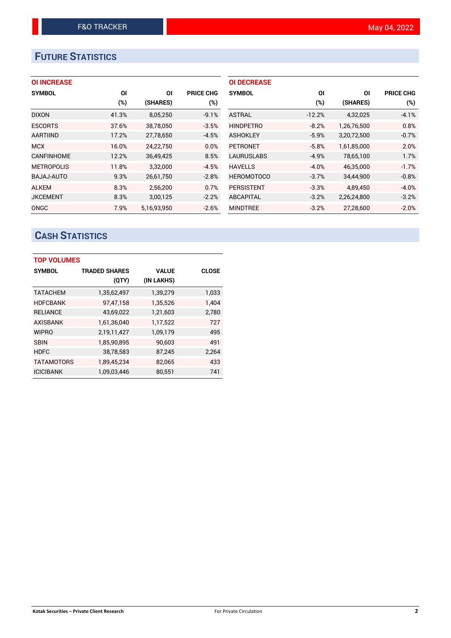# **FUTURE STATISTICS**

## **OI INCREASE**

| <b>SYMBOL</b>     | ΟI     | ΟI          | <b>PRICE CHG</b> |
|-------------------|--------|-------------|------------------|
|                   | $(\%)$ | (SHARES)    | $(\%)$           |
| <b>DIXON</b>      | 41.3%  | 8,05,250    | $-9.1%$          |
| <b>ESCORTS</b>    | 37.6%  | 38,78,050   | $-3.5%$          |
| <b>AARTIIND</b>   | 17.2%  | 27,78,650   | $-4.5%$          |
| <b>MCX</b>        | 16.0%  | 24,22,750   | 0.0%             |
| <b>CANFINHOME</b> | 12.2%  | 36,49,425   | 8.5%             |
| <b>METROPOLIS</b> | 11.8%  | 3.32.000    | $-4.5%$          |
| BAJAJ-AUTO        | 9.3%   | 26,61,750   | $-2.8%$          |
| <b>ALKEM</b>      | 8.3%   | 2,56,200    | 0.7%             |
| <b>JKCEMENT</b>   | 8.3%   | 3,00,125    | $-2.2%$          |
| ONGC              | 7.9%   | 5.16.93.950 | $-2.6%$          |

| <b>OI DECREASE</b> |          |             |                  |
|--------------------|----------|-------------|------------------|
| <b>SYMBOL</b>      | ΟI       | ΟI          | <b>PRICE CHG</b> |
|                    | (%)      | (SHARES)    | (%)              |
| ASTRAL             | $-12.2%$ | 4,32,025    | $-4.1%$          |
| <b>HINDPETRO</b>   | $-8.2%$  | 1,26,76,500 | 0.8%             |
| <b>ASHOKLEY</b>    | $-5.9%$  | 3,20,72,500 | $-0.7%$          |
| <b>PETRONET</b>    | $-5.8%$  | 1,61,85,000 | 2.0%             |
| <b>LAURUSLABS</b>  | $-4.9%$  | 78,65,100   | 1.7%             |
| <b>HAVELLS</b>     | $-4.0%$  | 46,35,000   | $-1.7%$          |
| <b>HEROMOTOCO</b>  | $-3.7%$  | 34,44,900   | $-0.8%$          |
| <b>PERSISTENT</b>  | $-3.3%$  | 4,89,450    | $-4.0%$          |
| <b>ABCAPITAL</b>   | $-3.2%$  | 2,26,24,800 | $-3.2%$          |
| <b>MINDTREE</b>    | $-3.2%$  | 27.28.600   | $-2.0%$          |

# **CASH STATISTICS**

| <b>TOP VOLUMES</b> |                      |              |              |  |  |  |  |  |
|--------------------|----------------------|--------------|--------------|--|--|--|--|--|
| <b>SYMBOL</b>      | <b>TRADED SHARES</b> | <b>VALUE</b> | <b>CLOSE</b> |  |  |  |  |  |
|                    | (QTY)                | (IN LAKHS)   |              |  |  |  |  |  |
| <b>TATACHEM</b>    | 1,35,62,497          | 1,39,279     | 1,033        |  |  |  |  |  |
| <b>HDFCBANK</b>    | 97,47,158            | 1,35,526     | 1.404        |  |  |  |  |  |
| <b>RELIANCE</b>    | 43,69,022            | 1,21,603     | 2,780        |  |  |  |  |  |
| <b>AXISBANK</b>    | 1,61,36,040          | 1,17,522     | 727          |  |  |  |  |  |
| <b>WIPRO</b>       | 2,19,11,427          | 1,09,179     | 495          |  |  |  |  |  |
| <b>SBIN</b>        | 1,85,90,895          | 90,603       | 491          |  |  |  |  |  |
| <b>HDFC</b>        | 38,78,583            | 87,245       | 2.264        |  |  |  |  |  |
| <b>TATAMOTORS</b>  | 1,89,45,234          | 82,065       | 433          |  |  |  |  |  |
| <b>ICICIBANK</b>   | 1,09,03,446          | 80,551       | 741          |  |  |  |  |  |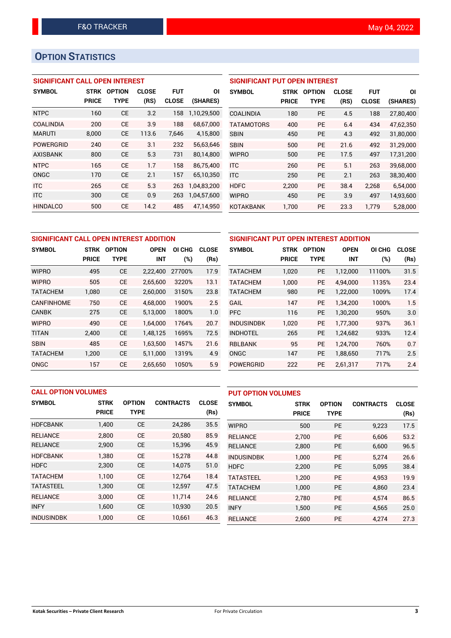# **OPTION STATISTICS**

#### **SIGNIFICANT CALL OPEN INTEREST**

| <b>SYMBOL</b>    | <b>STRK</b>  | <b>OPTION</b> | <b>CLOSE</b> | <b>FUT</b>   | ΟI          |
|------------------|--------------|---------------|--------------|--------------|-------------|
|                  | <b>PRICE</b> | <b>TYPE</b>   | (RS)         | <b>CLOSE</b> | (SHARES)    |
| <b>NTPC</b>      | 160          | <b>CE</b>     | 3.2          | 158          | 1,10,29,500 |
| <b>COALINDIA</b> | 200          | CE            | 3.9          | 188          | 68.67.000   |
| <b>MARUTI</b>    | 8,000        | СE            | 113.6        | 7,646        | 4,15,800    |
| <b>POWERGRID</b> | 240          | CF            | 3.1          | 232          | 56,63,646   |
| <b>AXISBANK</b>  | 800          | СE            | 5.3          | 731          | 80.14.800   |
| <b>NTPC</b>      | 165          | <b>CE</b>     | 1.7          | 158          | 86,75,400   |
| ONGC             | 170          | <b>CE</b>     | 2.1          | 157          | 65,10,350   |
| <b>ITC</b>       | 265          | CE            | 5.3          | 263          | 1,04,83,200 |
| <b>ITC</b>       | 300          | <b>CE</b>     | 0.9          | 263          | 1,04,57,600 |
| <b>HINDALCO</b>  | 500          | СE            | 14.2         | 485          | 47,14,950   |

## **SIGNIFICANT PUT OPEN INTEREST SYMBOL STRK OPTION CLOSE FUT OI PRICE TYPE (RS) CLOSE (SHARES)** COALINDIA 180 PE 4.5 188 27,80,400 TATAMOTORS 400 PE 6.4 434 47,62,350 SBIN 450 PE 4.3 492 31,80,000 SBIN 500 PE 21.6 492 31,29,000 WIPRO 500 PE 17.5 497 17,31,200 ITC 260 PE 5.1 263 39,68,000 ITC 250 PE 2.1 263 38,30,400 HDFC 2,200 PE 38.4 2,268 6,54,000 WIPRO 450 PE 3.9 497 14,93,600 KOTAKBANK 1,700 PE 23.3 1,779 5,28,000

| SIGNIFICANT CALL OPEN INTEREST ADDITION | <b>SIGNIFICANT PU</b>        |             |             |        |              |                   |  |
|-----------------------------------------|------------------------------|-------------|-------------|--------|--------------|-------------------|--|
| <b>SYMBOL</b>                           | <b>OPTION</b><br><b>STRK</b> |             | <b>OPEN</b> | OI CHG | <b>CLOSE</b> | <b>SYMBOL</b>     |  |
|                                         | <b>PRICE</b>                 | <b>TYPE</b> | <b>INT</b>  | (%)    | (Rs)         |                   |  |
| <b>WIPRO</b>                            | 495                          | <b>CE</b>   | 2,22,400    | 27700% | 17.9         | <b>TATACHEM</b>   |  |
| <b>WIPRO</b>                            | 505                          | <b>CE</b>   | 2,65,600    | 3220%  | 13.1         | <b>TATACHEM</b>   |  |
| <b>TATACHEM</b>                         | 1,080                        | <b>CE</b>   | 2,60,000    | 3150%  | 23.8         | <b>TATACHEM</b>   |  |
| <b>CANFINHOME</b>                       | 750                          | <b>CE</b>   | 4,68,000    | 1900%  | 2.5          | GAIL              |  |
| <b>CANBK</b>                            | 275                          | <b>CE</b>   | 5,13,000    | 1800%  | 1.0          | <b>PFC</b>        |  |
| <b>WIPRO</b>                            | 490                          | <b>CE</b>   | 1,64,000    | 1764%  | 20.7         | <b>INDUSINDBK</b> |  |
| <b>TITAN</b>                            | 2,400                        | <b>CE</b>   | 1,48,125    | 1695%  | 72.5         | <b>INDHOTEL</b>   |  |
| <b>SBIN</b>                             | 485                          | <b>CE</b>   | 1,63,500    | 1457%  | 21.6         | <b>RBLBANK</b>    |  |
| <b>TATACHEM</b>                         | 1,200                        | <b>CE</b>   | 5,11,000    | 1319%  | 4.9          | <b>ONGC</b>       |  |
| <b>ONGC</b>                             | 157                          | <b>CE</b>   | 2.65.650    | 1050%  | 5.9          | <b>POWERGRID</b>  |  |

| SIGNIFICANT PUT OPEN INTEREST ADDITION |              |                              |            |        |              |  |  |  |  |
|----------------------------------------|--------------|------------------------------|------------|--------|--------------|--|--|--|--|
| <b>SYMBOL</b>                          | <b>STRK</b>  | <b>OPTION</b><br><b>OPEN</b> |            | OI CHG | <b>CLOSE</b> |  |  |  |  |
|                                        | <b>PRICE</b> | <b>TYPE</b>                  | <b>INT</b> | (%)    | (Rs)         |  |  |  |  |
| <b>TATACHEM</b>                        | 1,020        | <b>PE</b>                    | 1,12,000   | 11100% | 31.5         |  |  |  |  |
| <b>TATACHEM</b>                        | 1,000        | <b>PE</b>                    | 4,94,000   | 1135%  | 23.4         |  |  |  |  |
| <b>TATACHEM</b>                        | 980          | <b>PE</b>                    | 1,22,000   | 1009%  | 17.4         |  |  |  |  |
| <b>GAIL</b>                            | 147          | <b>PE</b>                    | 1,34,200   | 1000%  | 1.5          |  |  |  |  |
| <b>PFC</b>                             | 116          | <b>PE</b>                    | 1,30,200   | 950%   | 3.0          |  |  |  |  |
| <b>INDUSINDBK</b>                      | 1,020        | <b>PE</b>                    | 1,77,300   | 937%   | 36.1         |  |  |  |  |
| <b>INDHOTEL</b>                        | 265          | <b>PE</b>                    | 1,24,682   | 933%   | 12.4         |  |  |  |  |
| <b>RBLBANK</b>                         | 95           | <b>PE</b>                    | 1,24,700   | 760%   | 0.7          |  |  |  |  |
| ONGC                                   | 147          | <b>PE</b>                    | 1,88,650   | 717%   | 2.5          |  |  |  |  |
| <b>POWERGRID</b>                       | 222          | <b>PE</b>                    | 2,61,317   | 717%   | 2.4          |  |  |  |  |

| <b>CALL OPTION VOLUMES</b> |              |               |                  | <b>PUT OPTION VOLUMES</b> |                   |              |               |                  |              |
|----------------------------|--------------|---------------|------------------|---------------------------|-------------------|--------------|---------------|------------------|--------------|
| <b>SYMBOL</b>              | <b>STRK</b>  | <b>OPTION</b> | <b>CONTRACTS</b> | <b>CLOSE</b>              | <b>SYMBOL</b>     | <b>STRK</b>  | <b>OPTION</b> | <b>CONTRACTS</b> | <b>CLOSE</b> |
|                            | <b>PRICE</b> | <b>TYPE</b>   |                  | (Rs)                      |                   | <b>PRICE</b> | <b>TYPE</b>   |                  | (Rs)         |
| <b>HDFCBANK</b>            | 1,400        | <b>CE</b>     | 24,286           | 35.5                      | <b>WIPRO</b>      | 500          | <b>PE</b>     | 9,223            | 17.5         |
| <b>RELIANCE</b>            | 2.800        | <b>CE</b>     | 20,580           | 85.9                      | <b>RELIANCE</b>   | 2.700        | <b>PE</b>     | 6.606            | 53.2         |
| <b>RELIANCE</b>            | 2,900        | <b>CE</b>     | 15,396           | 45.9                      | <b>RELIANCE</b>   | 2,800        | <b>PE</b>     | 6,600            | 96.5         |
| <b>HDFCBANK</b>            | 1.380        | <b>CE</b>     | 15,278           | 44.8                      | <b>INDUSINDBK</b> | 1.000        | <b>PE</b>     | 5.274            | 26.6         |
| <b>HDFC</b>                | 2,300        | <b>CE</b>     | 14,075           | 51.0                      | <b>HDFC</b>       | 2,200        | <b>PE</b>     | 5.095            | 38.4         |
| <b>TATACHEM</b>            | 1.100        | <b>CE</b>     | 12,764           | 18.4                      | <b>TATASTEEL</b>  | 1.200        | <b>PE</b>     | 4.953            | 19.9         |
| <b>TATASTEEL</b>           | 1,300        | <b>CE</b>     | 12,597           | 47.5                      | <b>TATACHEM</b>   | 1,000        | <b>PE</b>     | 4.860            | 23.4         |
| <b>RELIANCE</b>            | 3.000        | <b>CE</b>     | 11,714           | 24.6                      | <b>RELIANCE</b>   | 2,780        | <b>PE</b>     | 4.574            | 86.5         |
| <b>INFY</b>                | 1,600        | <b>CE</b>     | 10,930           | 20.5                      | <b>INFY</b>       | 1,500        | <b>PE</b>     | 4,565            | 25.0         |
| <b>INDUSINDBK</b>          | 1.000        | <b>CE</b>     | 10,661           | 46.3                      | <b>RELIANCE</b>   | 2.600        | PE            | 4,274            | 27.3         |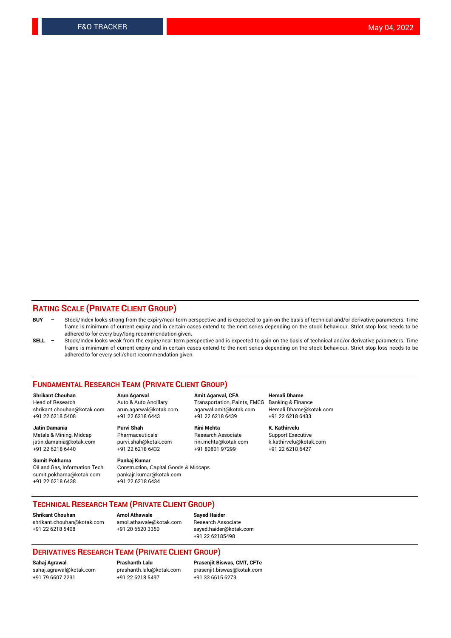#### **RATING SCALE (PRIVATE CLIENT GROUP)**

- **BUY**  Stock/Index looks strong from the expiry/near term perspective and is expected to gain on the basis of technical and/or derivative parameters. Time frame is minimum of current expiry and in certain cases extend to the next series depending on the stock behaviour. Strict stop loss needs to be adhered to for every buy/long recommendation given.
- **SELL** Stock/Index looks weak from the expiry/near term perspective and is expected to gain on the basis of technical and/or derivative parameters. Time frame is minimum of current expiry and in certain cases extend to the next series depending on the stock behaviour. Strict stop loss needs to be adhered to for every sell/short recommendation given.

#### **FUNDAMENTAL RESEARCH TEAM (PRIVATE CLIENT GROUP)**

**Shrikant Chouhan Arun Agarwal Amit Agarwal, CFA Hemali Dhame** shrikant.chouhan@kotak.com arun.agarwal@kotak.com agarwal.amit@kotak.com Hemali.Dhame@kotak.com +91 22 6218 5408 +91 22 6218 6443 +91 22 6218 6439 +91 22 6218 6433

jatin.damania@kotak.com

**Sumit Pokharna** Pankaj Kumar<br>Oil and Gas, Information Tech Construction, sumit.pokharna@kotak.com pankajr.kumar@kotak.com +91 22 6218 6438 +91 22 6218 6434

Construction, Capital Goods & Midcaps

Transportation, Paints, FMCG

**Jatin Damania Purvi Shah Rini Mehta K. Kathirvelu** +91 22 6218 6440 +91 22 6218 6432 +91 80801 97299 +91 22 6218 6427

Metals & Mining, Midcap Pharmaceuticals Pharmaceuticals Research Associate Support Executive<br>
iatin.damania@kotak.com purvi.shah@kotak.com rini.mehta@kotak.com k.kathirvelu@kotak.com

### **TECHNICAL RESEARCH TEAM (PRIVATE CLIENT GROUP)**

**Shrikant Chouhan Amol Athawale Sayed Haider** [shrikant.chouhan@kotak.com](mailto:shrikant.chouhan@kotak.com) [amol.athawale@kotak.com](mailto:amol.athawale@kotak.com) Research Associate +91 22 6218 5408 +91 20 6620 3350 [sayed.haider@kotak.com](mailto:sayed.haider@kotak.com)

+91 22 62185498

#### **DERIVATIVES RESEARCH TEAM (PRIVATE CLIENT GROUP)**

+91 79 6607 2231 +91 22 6218 5497 +91 33 6615 6273

**Sahaj Agrawal Prashanth Lalu Prasenjit Biswas, CMT, CFTe** [prasenjit.biswas@kotak.com](mailto:prasenjit.biswas@kotak.com)